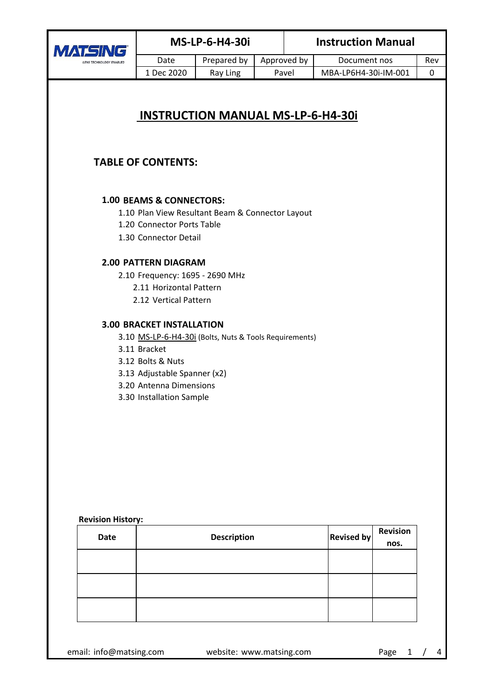| <b>MAT</b><br>LENS TECHNOLOGY ENABLED                                                                                                                                                                        | <b>MS-LP-6-H4-30i</b>                                                                                                                                        |                                                        |  | <b>Instruction Manual</b> |                      |                         |     |
|--------------------------------------------------------------------------------------------------------------------------------------------------------------------------------------------------------------|--------------------------------------------------------------------------------------------------------------------------------------------------------------|--------------------------------------------------------|--|---------------------------|----------------------|-------------------------|-----|
|                                                                                                                                                                                                              | Date                                                                                                                                                         | Prepared by                                            |  | Approved by               | Document nos         |                         | Rev |
|                                                                                                                                                                                                              | 1 Dec 2020                                                                                                                                                   | Ray Ling                                               |  | Pavel                     | MBA-LP6H4-30i-IM-001 |                         | 0   |
| <b>INSTRUCTION MANUAL MS-LP-6-H4-30i</b><br><b>TABLE OF CONTENTS:</b><br>1.00 BEAMS & CONNECTORS:<br>1.10 Plan View Resultant Beam & Connector Layout<br>1.20 Connector Ports Table<br>1.30 Connector Detail |                                                                                                                                                              |                                                        |  |                           |                      |                         |     |
| <b>2.00 PATTERN DIAGRAM</b><br>2.10 Frequency: 1695 - 2690 MHz<br>2.11 Horizontal Pattern<br>2.12 Vertical Pattern                                                                                           |                                                                                                                                                              |                                                        |  |                           |                      |                         |     |
| <b>Revision History:</b>                                                                                                                                                                                     | <b>3.00 BRACKET INSTALLATION</b><br>3.11 Bracket<br>3.12 Bolts & Nuts<br>3.13 Adjustable Spanner (x2)<br>3.20 Antenna Dimensions<br>3.30 Installation Sample | 3.10 MS-LP-6-H4-30i (Bolts, Nuts & Tools Requirements) |  |                           |                      |                         |     |
| Date                                                                                                                                                                                                         |                                                                                                                                                              | <b>Description</b>                                     |  |                           | <b>Revised by</b>    | <b>Revision</b><br>nos. |     |
|                                                                                                                                                                                                              |                                                                                                                                                              |                                                        |  |                           |                      |                         |     |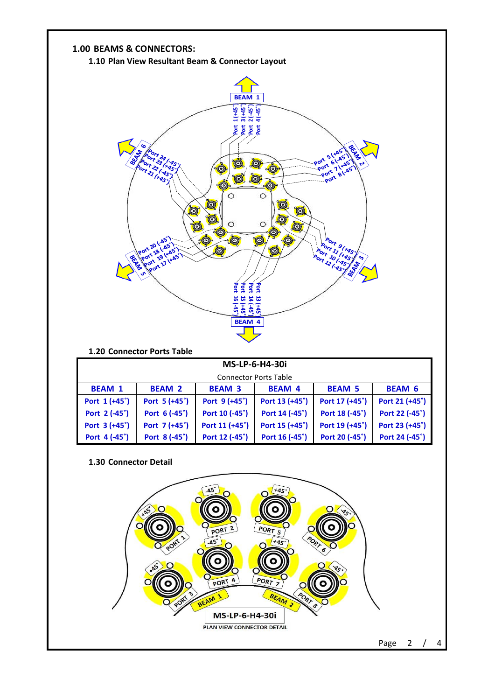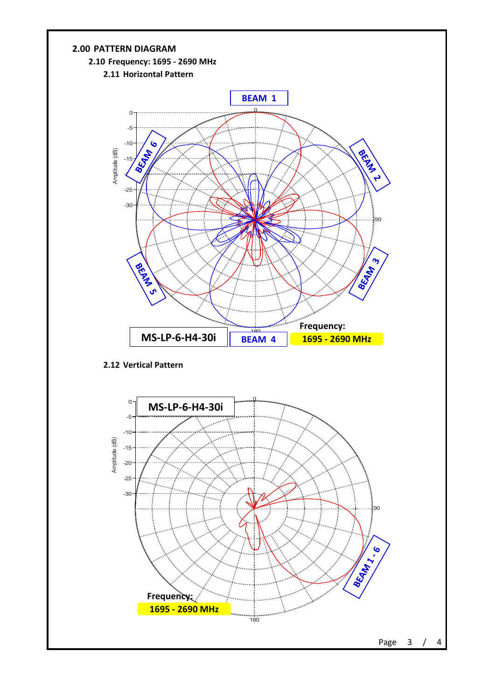